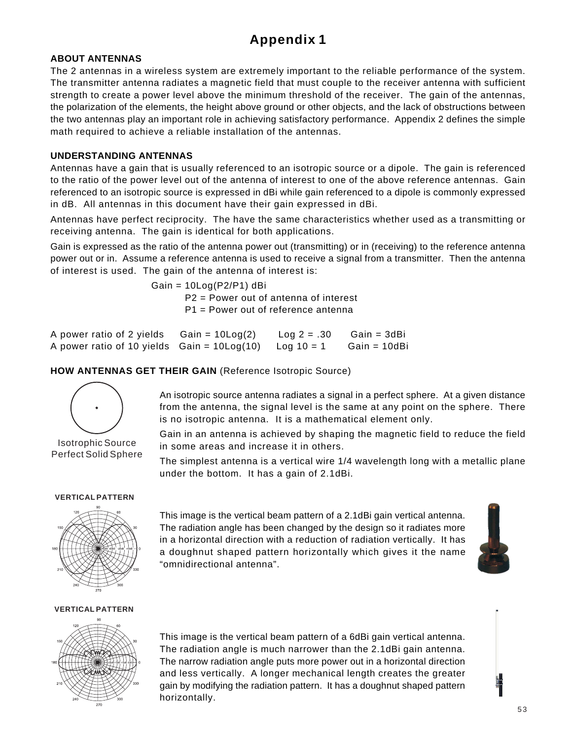# **Appendix 1**

### **ABOUT ANTENNAS**

The 2 antennas in a wireless system are extremely important to the reliable performance of the system. The transmitter antenna radiates a magnetic field that must couple to the receiver antenna with sufficient strength to create a power level above the minimum threshold of the receiver. The gain of the antennas, the polarization of the elements, the height above ground or other objects, and the lack of obstructions between the two antennas play an important role in achieving satisfactory performance. Appendix 2 defines the simple math required to achieve a reliable installation of the antennas.

#### **UNDERSTANDING ANTENNAS**

Antennas have a gain that is usually referenced to an isotropic source or a dipole. The gain is referenced to the ratio of the power level out of the antenna of interest to one of the above reference antennas. Gain referenced to an isotropic source is expressed in dBi while gain referenced to a dipole is commonly expressed in dB. All antennas in this document have their gain expressed in dBi.

Antennas have perfect reciprocity. The have the same characteristics whether used as a transmitting or receiving antenna. The gain is identical for both applications.

Gain is expressed as the ratio of the antenna power out (transmitting) or in (receiving) to the reference antenna power out or in. Assume a reference antenna is used to receive a signal from a transmitter. Then the antenna of interest is used. The gain of the antenna of interest is:

> Gain = 10Log(P2/P1) dBi P2 = Power out of antenna of interest P1 = Power out of reference antenna

| A power ratio of 2 yields $Gain = 10Log(2)$              | $Log 2 = .30$ | Gain = 3dBi  |
|----------------------------------------------------------|---------------|--------------|
| A power ratio of 10 yields $Gain = 10Log(10) Log 10 = 1$ |               | Gain = 10dBi |

### **HOW ANTENNAS GET THEIR GAIN** (Reference Isotropic Source)



Isotrophic Source Perfect Solid Sphere

An isotropic source antenna radiates a signal in a perfect sphere. At a given distance from the antenna, the signal level is the same at any point on the sphere. There is no isotropic antenna. It is a mathematical element only.

Gain in an antenna is achieved by shaping the magnetic field to reduce the field in some areas and increase it in others.

The simplest antenna is a vertical wire 1/4 wavelength long with a metallic plane under the bottom. It has a gain of 2.1dBi.

#### **VERTICAL PATTERN**



This image is the vertical beam pattern of a 2.1dBi gain vertical antenna. The radiation angle has been changed by the design so it radiates more in a horizontal direction with a reduction of radiation vertically. It has a doughnut shaped pattern horizontally which gives it the name "omnidirectional antenna".



#### **VERTICAL PATTERN**



This image is the vertical beam pattern of a 6dBi gain vertical antenna. The radiation angle is much narrower than the 2.1dBi gain antenna. The narrow radiation angle puts more power out in a horizontal direction and less vertically. A longer mechanical length creates the greater gain by modifying the radiation pattern. It has a doughnut shaped pattern horizontally.

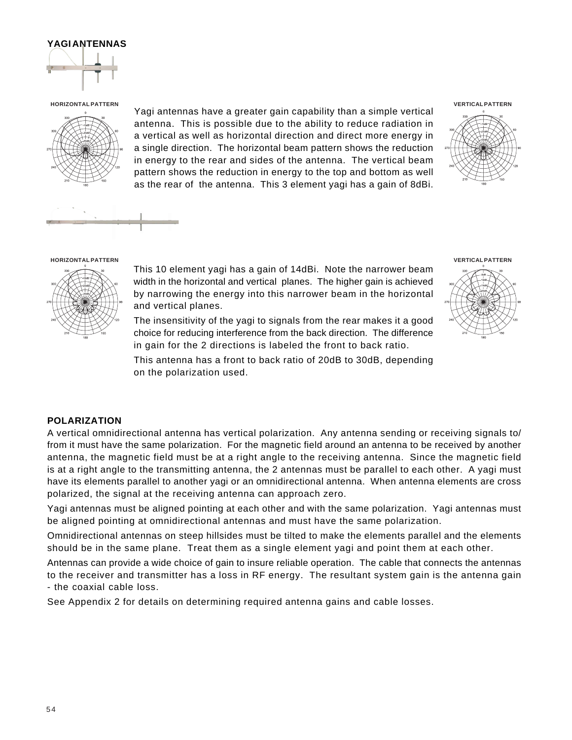#### **YAGI ANTENNAS**



**HORIZONTAL PATTERN VERTICAL PATTERN**



Yagi antennas have a greater gain capability than a simple vertical antenna. This is possible due to the ability to reduce radiation in a vertical as well as horizontal direction and direct more energy in a single direction. The horizontal beam pattern shows the reduction in energy to the rear and sides of the antenna. The vertical beam pattern shows the reduction in energy to the top and bottom as well as the rear of the antenna. This 3 element yagi has a gain of 8dBi.





#### **HORIZONTAL PATTERN VERTICAL PATTERN**



This 10 element yagi has a gain of 14dBi. Note the narrower beam width in the horizontal and vertical planes. The higher gain is achieved by narrowing the energy into this narrower beam in the horizontal and vertical planes.

The insensitivity of the yagi to signals from the rear makes it a good choice for reducing interference from the back direction. The difference in gain for the 2 directions is labeled the front to back ratio.

This antenna has a front to back ratio of 20dB to 30dB, depending on the polarization used.

#### **POLARIZATION**

A vertical omnidirectional antenna has vertical polarization. Any antenna sending or receiving signals to/ from it must have the same polarization. For the magnetic field around an antenna to be received by another antenna, the magnetic field must be at a right angle to the receiving antenna. Since the magnetic field is at a right angle to the transmitting antenna, the 2 antennas must be parallel to each other. A yagi must have its elements parallel to another yagi or an omnidirectional antenna. When antenna elements are cross polarized, the signal at the receiving antenna can approach zero.

Yagi antennas must be aligned pointing at each other and with the same polarization. Yagi antennas must be aligned pointing at omnidirectional antennas and must have the same polarization.

Omnidirectional antennas on steep hillsides must be tilted to make the elements parallel and the elements should be in the same plane. Treat them as a single element yagi and point them at each other.

Antennas can provide a wide choice of gain to insure reliable operation. The cable that connects the antennas to the receiver and transmitter has a loss in RF energy. The resultant system gain is the antenna gain - the coaxial cable loss.

See Appendix 2 for details on determining required antenna gains and cable losses.

5 4